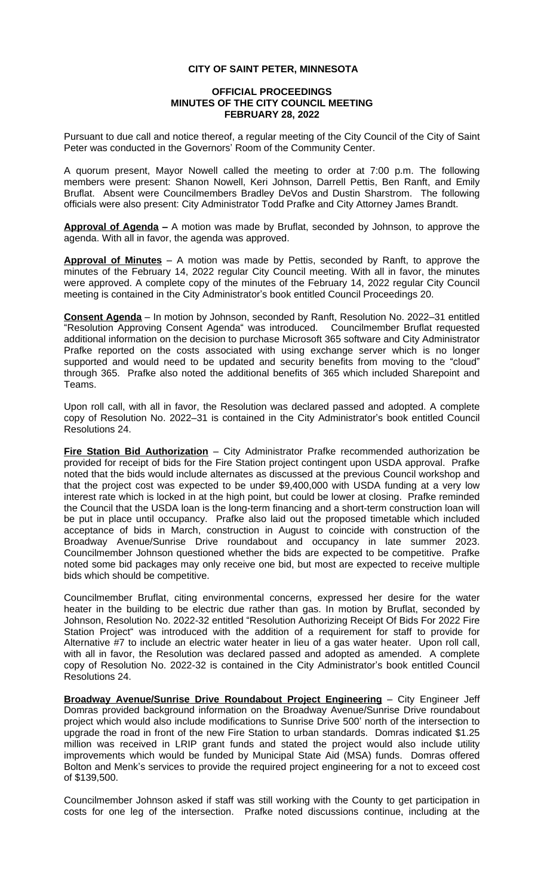## **CITY OF SAINT PETER, MINNESOTA**

## **OFFICIAL PROCEEDINGS MINUTES OF THE CITY COUNCIL MEETING FEBRUARY 28, 2022**

Pursuant to due call and notice thereof, a regular meeting of the City Council of the City of Saint Peter was conducted in the Governors' Room of the Community Center.

A quorum present, Mayor Nowell called the meeting to order at 7:00 p.m. The following members were present: Shanon Nowell, Keri Johnson, Darrell Pettis, Ben Ranft, and Emily Bruflat. Absent were Councilmembers Bradley DeVos and Dustin Sharstrom. The following officials were also present: City Administrator Todd Prafke and City Attorney James Brandt.

**Approval of Agenda –** A motion was made by Bruflat, seconded by Johnson, to approve the agenda. With all in favor, the agenda was approved.

**Approval of Minutes** – A motion was made by Pettis, seconded by Ranft, to approve the minutes of the February 14, 2022 regular City Council meeting. With all in favor, the minutes were approved. A complete copy of the minutes of the February 14, 2022 regular City Council meeting is contained in the City Administrator's book entitled Council Proceedings 20.

**Consent Agenda** – In motion by Johnson, seconded by Ranft, Resolution No. 2022–31 entitled "Resolution Approving Consent Agenda" was introduced. Councilmember Bruflat requested additional information on the decision to purchase Microsoft 365 software and City Administrator Prafke reported on the costs associated with using exchange server which is no longer supported and would need to be updated and security benefits from moving to the "cloud" through 365. Prafke also noted the additional benefits of 365 which included Sharepoint and Teams.

Upon roll call, with all in favor, the Resolution was declared passed and adopted. A complete copy of Resolution No. 2022–31 is contained in the City Administrator's book entitled Council Resolutions 24.

**Fire Station Bid Authorization** – City Administrator Prafke recommended authorization be provided for receipt of bids for the Fire Station project contingent upon USDA approval. Prafke noted that the bids would include alternates as discussed at the previous Council workshop and that the project cost was expected to be under \$9,400,000 with USDA funding at a very low interest rate which is locked in at the high point, but could be lower at closing. Prafke reminded the Council that the USDA loan is the long-term financing and a short-term construction loan will be put in place until occupancy. Prafke also laid out the proposed timetable which included acceptance of bids in March, construction in August to coincide with construction of the Broadway Avenue/Sunrise Drive roundabout and occupancy in late summer 2023. Councilmember Johnson questioned whether the bids are expected to be competitive. Prafke noted some bid packages may only receive one bid, but most are expected to receive multiple bids which should be competitive.

Councilmember Bruflat, citing environmental concerns, expressed her desire for the water heater in the building to be electric due rather than gas. In motion by Bruflat, seconded by Johnson, Resolution No. 2022-32 entitled "Resolution Authorizing Receipt Of Bids For 2022 Fire Station Project" was introduced with the addition of a requirement for staff to provide for Alternative #7 to include an electric water heater in lieu of a gas water heater. Upon roll call, with all in favor, the Resolution was declared passed and adopted as amended. A complete copy of Resolution No. 2022-32 is contained in the City Administrator's book entitled Council Resolutions 24.

**Broadway Avenue/Sunrise Drive Roundabout Project Engineering** – City Engineer Jeff Domras provided background information on the Broadway Avenue/Sunrise Drive roundabout project which would also include modifications to Sunrise Drive 500' north of the intersection to upgrade the road in front of the new Fire Station to urban standards. Domras indicated \$1.25 million was received in LRIP grant funds and stated the project would also include utility improvements which would be funded by Municipal State Aid (MSA) funds. Domras offered Bolton and Menk's services to provide the required project engineering for a not to exceed cost of \$139,500.

Councilmember Johnson asked if staff was still working with the County to get participation in costs for one leg of the intersection. Prafke noted discussions continue, including at the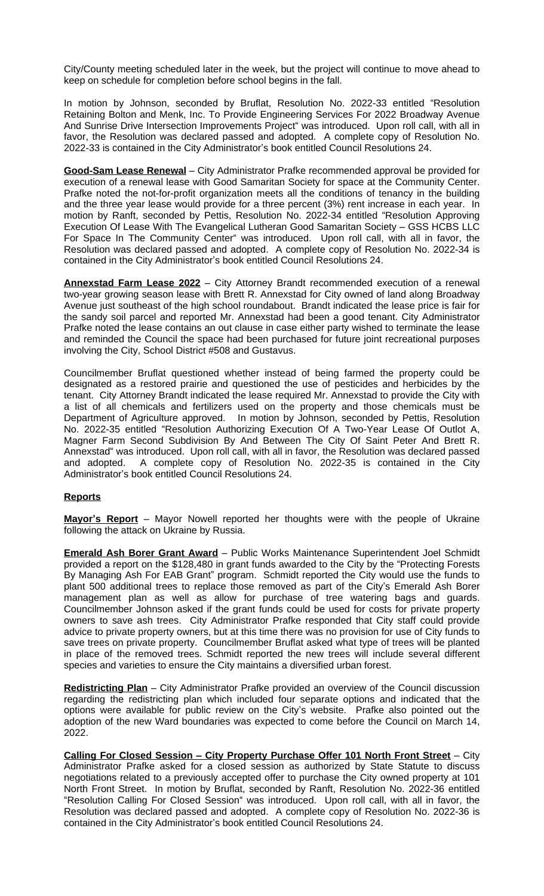City/County meeting scheduled later in the week, but the project will continue to move ahead to keep on schedule for completion before school begins in the fall.

In motion by Johnson, seconded by Bruflat, Resolution No. 2022-33 entitled "Resolution Retaining Bolton and Menk, Inc. To Provide Engineering Services For 2022 Broadway Avenue And Sunrise Drive Intersection Improvements Project" was introduced. Upon roll call, with all in favor, the Resolution was declared passed and adopted. A complete copy of Resolution No. 2022-33 is contained in the City Administrator's book entitled Council Resolutions 24.

**Good-Sam Lease Renewal** – City Administrator Prafke recommended approval be provided for execution of a renewal lease with Good Samaritan Society for space at the Community Center. Prafke noted the not-for-profit organization meets all the conditions of tenancy in the building and the three year lease would provide for a three percent (3%) rent increase in each year. In motion by Ranft, seconded by Pettis, Resolution No. 2022-34 entitled "Resolution Approving Execution Of Lease With The Evangelical Lutheran Good Samaritan Society – GSS HCBS LLC For Space In The Community Center" was introduced. Upon roll call, with all in favor, the Resolution was declared passed and adopted. A complete copy of Resolution No. 2022-34 is contained in the City Administrator's book entitled Council Resolutions 24.

**Annexstad Farm Lease 2022** – City Attorney Brandt recommended execution of a renewal two-year growing season lease with Brett R. Annexstad for City owned of land along Broadway Avenue just southeast of the high school roundabout. Brandt indicated the lease price is fair for the sandy soil parcel and reported Mr. Annexstad had been a good tenant. City Administrator Prafke noted the lease contains an out clause in case either party wished to terminate the lease and reminded the Council the space had been purchased for future joint recreational purposes involving the City, School District #508 and Gustavus.

Councilmember Bruflat questioned whether instead of being farmed the property could be designated as a restored prairie and questioned the use of pesticides and herbicides by the tenant. City Attorney Brandt indicated the lease required Mr. Annexstad to provide the City with a list of all chemicals and fertilizers used on the property and those chemicals must be Department of Agriculture approved. In motion by Johnson, seconded by Pettis, Resolution No. 2022-35 entitled "Resolution Authorizing Execution Of A Two-Year Lease Of Outlot A, Magner Farm Second Subdivision By And Between The City Of Saint Peter And Brett R. Annexstad" was introduced. Upon roll call, with all in favor, the Resolution was declared passed and adopted. A complete copy of Resolution No. 2022-35 is contained in the City Administrator's book entitled Council Resolutions 24.

## **Reports**

**Mayor's Report** – Mayor Nowell reported her thoughts were with the people of Ukraine following the attack on Ukraine by Russia.

**Emerald Ash Borer Grant Award** – Public Works Maintenance Superintendent Joel Schmidt provided a report on the \$128,480 in grant funds awarded to the City by the "Protecting Forests By Managing Ash For EAB Grant" program. Schmidt reported the City would use the funds to plant 500 additional trees to replace those removed as part of the City's Emerald Ash Borer management plan as well as allow for purchase of tree watering bags and guards. Councilmember Johnson asked if the grant funds could be used for costs for private property owners to save ash trees. City Administrator Prafke responded that City staff could provide advice to private property owners, but at this time there was no provision for use of City funds to save trees on private property. Councilmember Bruflat asked what type of trees will be planted in place of the removed trees. Schmidt reported the new trees will include several different species and varieties to ensure the City maintains a diversified urban forest.

**Redistricting Plan** – City Administrator Prafke provided an overview of the Council discussion regarding the redistricting plan which included four separate options and indicated that the options were available for public review on the City's website. Prafke also pointed out the adoption of the new Ward boundaries was expected to come before the Council on March 14, 2022.

**Calling For Closed Session – City Property Purchase Offer 101 North Front Street** – City Administrator Prafke asked for a closed session as authorized by State Statute to discuss negotiations related to a previously accepted offer to purchase the City owned property at 101 North Front Street. In motion by Bruflat, seconded by Ranft, Resolution No. 2022-36 entitled "Resolution Calling For Closed Session" was introduced. Upon roll call, with all in favor, the Resolution was declared passed and adopted. A complete copy of Resolution No. 2022-36 is contained in the City Administrator's book entitled Council Resolutions 24.